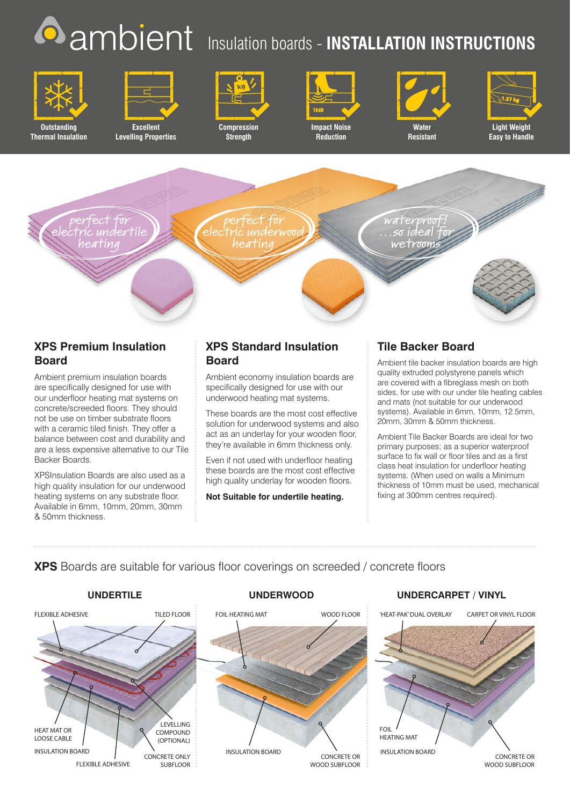## **O** ambient Insulation boards - INSTALLATION INSTRUCTIONS



**Outstanding Thermal Insulation**



**Excellent Levelling Properties**



**Strength**



**Reduction**





**Light Weight Easy to Handle**



## **XPS Premium Insulation Board**

Ambient premium insulation boards are specifically designed for use with our underfloor heating mat systems on concrete/screeded floors. They should not be use on timber substrate floors with a ceramic tiled finish. They offer a balance between cost and durability and are a less expensive alternative to our Tile Backer Boards.

XPSInsulation Boards are also used as a high quality insulation for our underwood heating systems on any substrate floor. Available in 6mm, 10mm, 20mm, 30mm & 50mm thickness.

## **XPS Standard Insulation Board**

Ambient economy insulation boards are specifically designed for use with our underwood heating mat systems.

These boards are the most cost effective solution for underwood systems and also act as an underlay for your wooden floor, they're available in 6mm thickness only.

Even if not used with underfloor heating these boards are the most cost effective high quality underlay for wooden floors.

**Not Suitable for undertile heating.**

## **Tile Backer Board**

Ambient tile backer insulation boards are high quality extruded polystyrene panels which are covered with a fibreglass mesh on both sides, for use with our under tile heating cables and mats (not suitable for our underwood systems). Available in 6mm, 10mm, 12.5mm, 20mm, 30mm & 50mm thickness.

Ambient Tile Backer Boards are ideal for two primary purposes; as a superior waterproof surface to fix wall or floor tiles and as a first class heat insulation for underfloor heating systems. (When used on walls a Minimum thickness of 10mm must be used, mechanical fixing at 300mm centres required).

## **XPS** Boards are suitable for various floor coverings on screeded / concrete floors





### **UNDERTILE UNDERWOOD UNDERCARPET / VINYL**